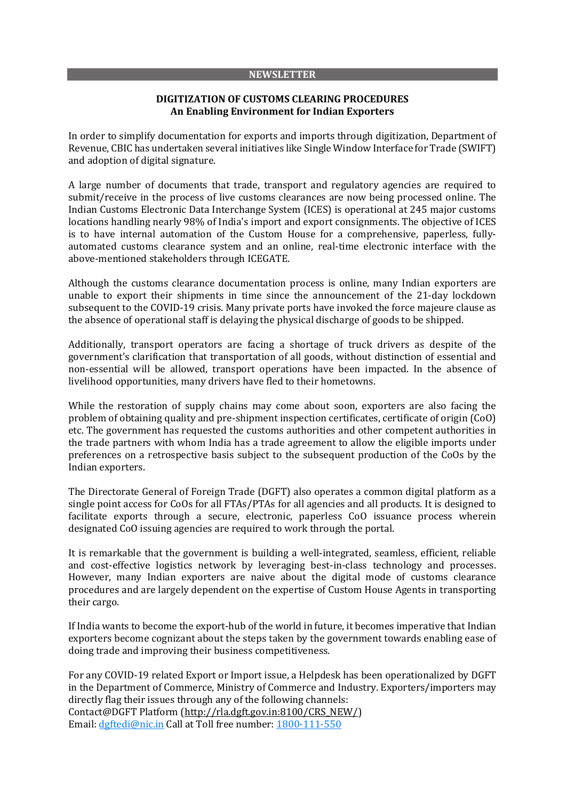#### **NEWSLETTER**

## **DIGITIZATION OF CUSTOMS CLEARING PROCEDURES An Enabling Environment for Indian Exporters**

In order to simplify documentation for exports and imports through digitization, Department of Revenue, CBIC has undertaken several initiatives like Single Window Interface for Trade (SWIFT) and adoption of digital signature.

A large number of documents that trade, transport and regulatory agencies are required to submit/receive in the process of live customs clearances are now being processed online. The Indian Customs Electronic Data Interchange System (ICES) is operational at 245 major customs locations handling nearly 98% of India's import and export consignments. The objective of ICES is to have internal automation of the Custom House for a comprehensive, paperless, fullyautomated customs clearance system and an online, real-time electronic interface with the above-mentioned stakeholders through ICEGATE.

Although the customs clearance documentation process is online, many Indian exporters are unable to export their shipments in time since the announcement of the 21-day lockdown subsequent to the COVID-19 crisis. Many private ports have invoked the force majeure clause as the absence of operational staff is delaying the physical discharge of goods to be shipped.

Additionally, transport operators are facing a shortage of truck drivers as despite of the government's clarification that transportation of all goods, without distinction of essential and non-essential will be allowed, transport operations have been impacted. In the absence of livelihood opportunities, many drivers have fled to their hometowns.

While the restoration of supply chains may come about soon, exporters are also facing the problem of obtaining quality and pre-shipment inspection certificates, certificate of origin (CoO) etc. The government has requested the customs authorities and other competent authorities in the trade partners with whom India has a trade agreement to allow the eligible imports under preferences on a retrospective basis subject to the subsequent production of the CoOs by the Indian exporters.

The Directorate General of Foreign Trade (DGFT) also operates a common digital platform as a single point access for CoOs for all FTAs/PTAs for all agencies and all products. It is designed to facilitate exports through a secure, electronic, paperless CoO issuance process wherein designated CoO issuing agencies are required to work through the portal.

It is remarkable that the government is building a well-integrated, seamless, efficient, reliable and cost-effective logistics network by leveraging best-in-class technology and processes. However, many Indian exporters are naive about the digital mode of customs clearance procedures and are largely dependent on the expertise of Custom House Agents in transporting their cargo.

If India wants to become the export-hub of the world in future, it becomes imperative that Indian exporters become cognizant about the steps taken by the government towards enabling ease of doing trade and improving their business competitiveness.

For any COVID-19 related Export or Import issue, a Helpdesk has been operationalized by DGFT in the Department of Commerce, Ministry of Commerce and Industry. Exporters/importers may directly flag their issues through any of the following channels: Contact@DGFT Platform [\(http://rla.dgft.gov.in:8100/CRS\\_NEW/\)](http://rla.dgft.gov.in:8100/CRS_NEW/) Email: [dgftedi@nic.in](mailto:dgftedi@nic.in) Call at Toll free number: 1800-111-550